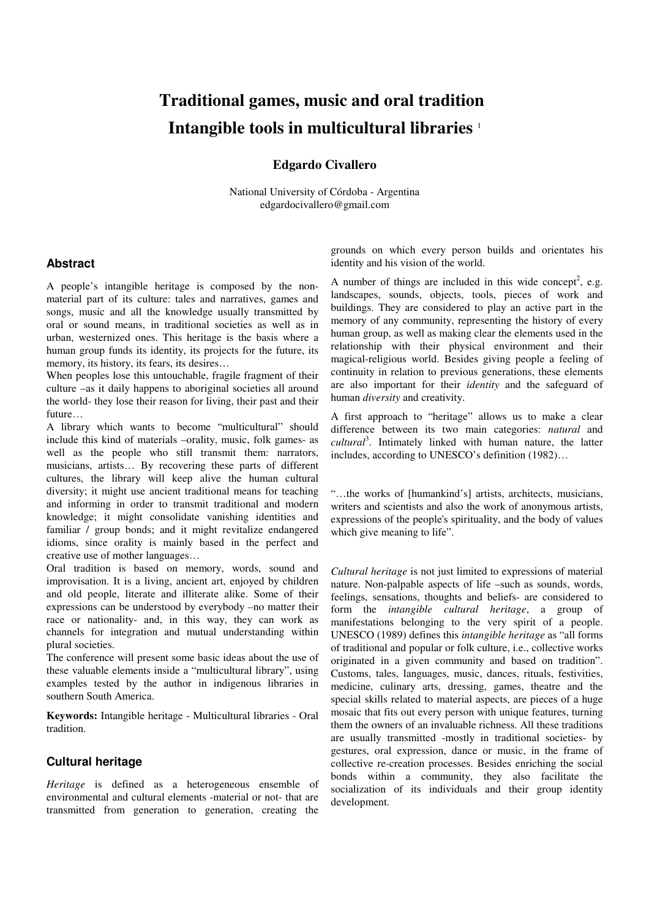# **Traditional games, music and oral tradition-Intangible tools in multicultural libraries** <sup>1</sup>

#### **Edgardo Civallero**

National University of Córdoba - Argentina edgardocivallero@gmail.com

#### **Abstract**

A people's intangible heritage is composed by the nonmaterial part of its culture: tales and narratives, games and songs, music and all the knowledge usually transmitted by oral or sound means, in traditional societies as well as in urban, westernized ones. This heritage is the basis where a human group funds its identity, its projects for the future, its memory, its history, its fears, its desires…

When peoples lose this untouchable, fragile fragment of their culture –as it daily happens to aboriginal societies all around the world- they lose their reason for living, their past and their future…

A library which wants to become "multicultural" should include this kind of materials –orality, music, folk games- as well as the people who still transmit them: narrators, musicians, artists… By recovering these parts of different cultures, the library will keep alive the human cultural diversity; it might use ancient traditional means for teaching and informing in order to transmit traditional and modern knowledge; it might consolidate vanishing identities and familiar / group bonds; and it might revitalize endangered idioms, since orality is mainly based in the perfect and creative use of mother languages…

Oral tradition is based on memory, words, sound and improvisation. It is a living, ancient art, enjoyed by children and old people, literate and illiterate alike. Some of their expressions can be understood by everybody –no matter their race or nationality- and, in this way, they can work as channels for integration and mutual understanding within plural societies.

The conference will present some basic ideas about the use of these valuable elements inside a "multicultural library", using examples tested by the author in indigenous libraries in southern South America.

**Keywords:** Intangible heritage - Multicultural libraries - Oral tradition.

#### **Cultural heritage**

*Heritage* is defined as a heterogeneous ensemble of environmental and cultural elements -material or not- that are transmitted from generation to generation, creating the grounds on which every person builds and orientates his identity and his vision of the world.

A number of things are included in this wide concept<sup>2</sup>, e.g. landscapes, sounds, objects, tools, pieces of work and buildings. They are considered to play an active part in the memory of any community, representing the history of every human group, as well as making clear the elements used in the relationship with their physical environment and their magical-religious world. Besides giving people a feeling of continuity in relation to previous generations, these elements are also important for their *identity* and the safeguard of human *diversity* and creativity.

A first approach to "heritage" allows us to make a clear difference between its two main categories: *natural* and *cultural*<sup>3</sup> . Intimately linked with human nature, the latter includes, according to UNESCO's definition (1982)…

"…the works of [humankind's] artists, architects, musicians, writers and scientists and also the work of anonymous artists, expressions of the people's spirituality, and the body of values which give meaning to life".

*Cultural heritage* is not just limited to expressions of material nature. Non-palpable aspects of life –such as sounds, words, feelings, sensations, thoughts and beliefs- are considered to form the *intangible cultural heritage*, a group of manifestations belonging to the very spirit of a people. UNESCO (1989) defines this *intangible heritage* as "all forms of traditional and popular or folk culture, i.e., collective works originated in a given community and based on tradition". Customs, tales, languages, music, dances, rituals, festivities, medicine, culinary arts, dressing, games, theatre and the special skills related to material aspects, are pieces of a huge mosaic that fits out every person with unique features, turning them the owners of an invaluable richness. All these traditions are usually transmitted -mostly in traditional societies- by gestures, oral expression, dance or music, in the frame of collective re-creation processes. Besides enriching the social bonds within a community, they also facilitate the socialization of its individuals and their group identity development.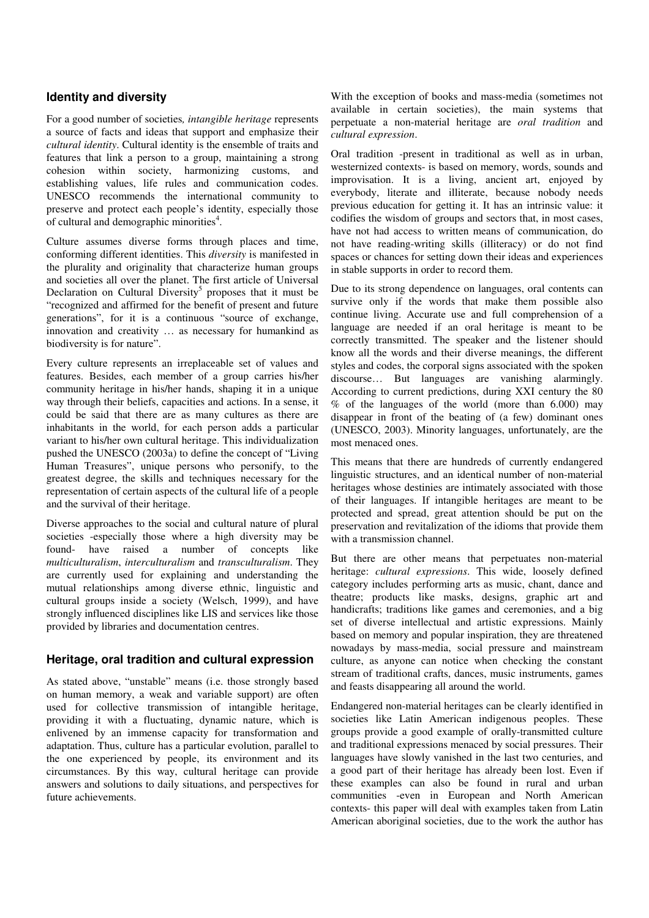#### **Identity and diversity**

For a good number of societies*, intangible heritage* represents a source of facts and ideas that support and emphasize their *cultural identity*. Cultural identity is the ensemble of traits and features that link a person to a group, maintaining a strong cohesion within society, harmonizing customs, and establishing values, life rules and communication codes. UNESCO recommends the international community to preserve and protect each people's identity, especially those of cultural and demographic minorities<sup>4</sup>.

Culture assumes diverse forms through places and time, conforming different identities. This *diversity* is manifested in the plurality and originality that characterize human groups and societies all over the planet. The first article of Universal Declaration on Cultural Diversity<sup>5</sup> proposes that it must be "recognized and affirmed for the benefit of present and future generations", for it is a continuous "source of exchange, innovation and creativity … as necessary for humankind as biodiversity is for nature".

Every culture represents an irreplaceable set of values and features. Besides, each member of a group carries his/her community heritage in his/her hands, shaping it in a unique way through their beliefs, capacities and actions. In a sense, it could be said that there are as many cultures as there are inhabitants in the world, for each person adds a particular variant to his/her own cultural heritage. This individualization pushed the UNESCO (2003a) to define the concept of "Living Human Treasures", unique persons who personify, to the greatest degree, the skills and techniques necessary for the representation of certain aspects of the cultural life of a people and the survival of their heritage.

Diverse approaches to the social and cultural nature of plural societies -especially those where a high diversity may be found- have raised a number of concepts like *multiculturalism*, *interculturalism* and *transculturalism*. They are currently used for explaining and understanding the mutual relationships among diverse ethnic, linguistic and cultural groups inside a society (Welsch, 1999), and have strongly influenced disciplines like LIS and services like those provided by libraries and documentation centres.

#### **Heritage, oral tradition and cultural expression**

As stated above, "unstable" means (i.e. those strongly based on human memory, a weak and variable support) are often used for collective transmission of intangible heritage, providing it with a fluctuating, dynamic nature, which is enlivened by an immense capacity for transformation and adaptation. Thus, culture has a particular evolution, parallel to the one experienced by people, its environment and its circumstances. By this way, cultural heritage can provide answers and solutions to daily situations, and perspectives for future achievements.

With the exception of books and mass-media (sometimes not available in certain societies), the main systems that perpetuate a non-material heritage are *oral tradition* and *cultural expression*.

Oral tradition -present in traditional as well as in urban, westernized contexts- is based on memory, words, sounds and improvisation. It is a living, ancient art, enjoyed by everybody, literate and illiterate, because nobody needs previous education for getting it. It has an intrinsic value: it codifies the wisdom of groups and sectors that, in most cases, have not had access to written means of communication, do not have reading-writing skills (illiteracy) or do not find spaces or chances for setting down their ideas and experiences in stable supports in order to record them.

Due to its strong dependence on languages, oral contents can survive only if the words that make them possible also continue living. Accurate use and full comprehension of a language are needed if an oral heritage is meant to be correctly transmitted. The speaker and the listener should know all the words and their diverse meanings, the different styles and codes, the corporal signs associated with the spoken discourse... But languages are vanishing alarmingly. According to current predictions, during XXI century the 80 % of the languages of the world (more than 6.000) may disappear in front of the beating of (a few) dominant ones (UNESCO, 2003). Minority languages, unfortunately, are the most menaced ones.

This means that there are hundreds of currently endangered linguistic structures, and an identical number of non-material heritages whose destinies are intimately associated with those of their languages. If intangible heritages are meant to be protected and spread, great attention should be put on the preservation and revitalization of the idioms that provide them with a transmission channel.

But there are other means that perpetuates non-material heritage: *cultural expressions*. This wide, loosely defined category includes performing arts as music, chant, dance and theatre; products like masks, designs, graphic art and handicrafts; traditions like games and ceremonies, and a big set of diverse intellectual and artistic expressions. Mainly based on memory and popular inspiration, they are threatened nowadays by mass-media, social pressure and mainstream culture, as anyone can notice when checking the constant stream of traditional crafts, dances, music instruments, games and feasts disappearing all around the world.

Endangered non-material heritages can be clearly identified in societies like Latin American indigenous peoples. These groups provide a good example of orally-transmitted culture and traditional expressions menaced by social pressures. Their languages have slowly vanished in the last two centuries, and a good part of their heritage has already been lost. Even if these examples can also be found in rural and urban communities -even in European and North American contexts- this paper will deal with examples taken from Latin American aboriginal societies, due to the work the author has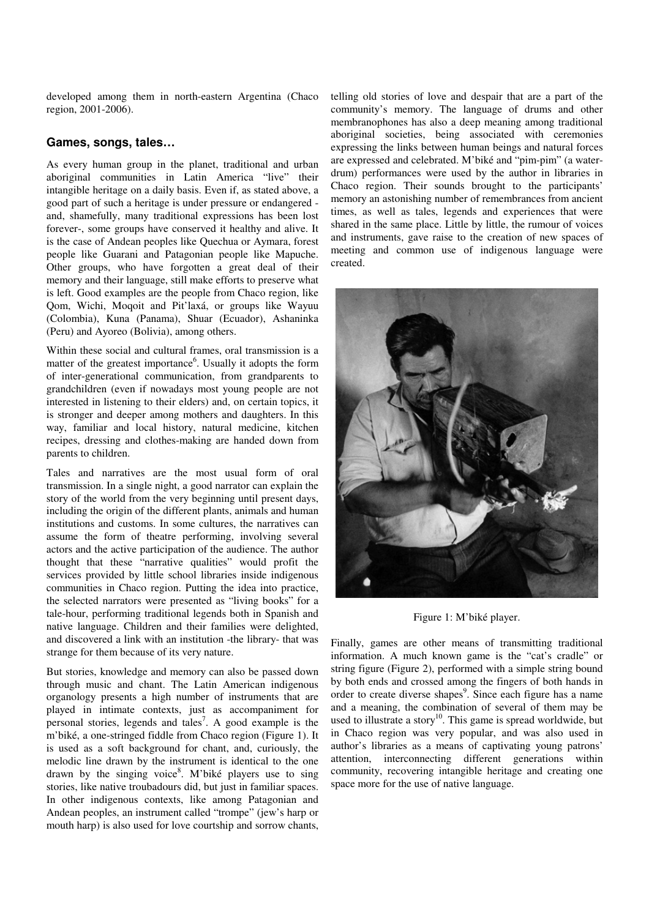developed among them in north-eastern Argentina (Chaco region, 2001-2006).

## **Games, songs, tales…**

As every human group in the planet, traditional and urban aboriginal communities in Latin America "live" their intangible heritage on a daily basis. Even if, as stated above, a good part of such a heritage is under pressure or endangered and, shamefully, many traditional expressions has been lost forever-, some groups have conserved it healthy and alive. It is the case of Andean peoples like Quechua or Aymara, forest people like Guarani and Patagonian people like Mapuche. Other groups, who have forgotten a great deal of their memory and their language, still make efforts to preserve what is left. Good examples are the people from Chaco region, like Qom, Wichi, Moqoit and Pit'laxá, or groups like Wayuu (Colombia), Kuna (Panama), Shuar (Ecuador), Ashaninka (Peru) and Ayoreo (Bolivia), among others.

Within these social and cultural frames, oral transmission is a matter of the greatest importance<sup>6</sup>. Usually it adopts the form of inter-generational communication, from grandparents to grandchildren (even if nowadays most young people are not interested in listening to their elders) and, on certain topics, it is stronger and deeper among mothers and daughters. In this way, familiar and local history, natural medicine, kitchen recipes, dressing and clothes-making are handed down from parents to children.

Tales and narratives are the most usual form of oral transmission. In a single night, a good narrator can explain the story of the world from the very beginning until present days, including the origin of the different plants, animals and human institutions and customs. In some cultures, the narratives can assume the form of theatre performing, involving several actors and the active participation of the audience. The author thought that these "narrative qualities" would profit the services provided by little school libraries inside indigenous communities in Chaco region. Putting the idea into practice, the selected narrators were presented as "living books" for a tale-hour, performing traditional legends both in Spanish and native language. Children and their families were delighted, and discovered a link with an institution -the library- that was strange for them because of its very nature.

But stories, knowledge and memory can also be passed down through music and chant. The Latin American indigenous organology presents a high number of instruments that are played in intimate contexts, just as accompaniment for personal stories, legends and tales<sup>7</sup>. A good example is the m'biké, a one-stringed fiddle from Chaco region (Figure 1). It is used as a soft background for chant, and, curiously, the melodic line drawn by the instrument is identical to the one drawn by the singing voice<sup>8</sup>. M'biké players use to sing stories, like native troubadours did, but just in familiar spaces. In other indigenous contexts, like among Patagonian and Andean peoples, an instrument called "trompe" (jew's harp or mouth harp) is also used for love courtship and sorrow chants,

telling old stories of love and despair that are a part of the community's memory. The language of drums and other membranophones has also a deep meaning among traditional aboriginal societies, being associated with ceremonies expressing the links between human beings and natural forces are expressed and celebrated. M'biké and "pim-pim" (a waterdrum) performances were used by the author in libraries in Chaco region. Their sounds brought to the participants' memory an astonishing number of remembrances from ancient times, as well as tales, legends and experiences that were shared in the same place. Little by little, the rumour of voices and instruments, gave raise to the creation of new spaces of meeting and common use of indigenous language were created.



Figure 1: M'biké player.

Finally, games are other means of transmitting traditional information. A much known game is the "cat's cradle" or string figure (Figure 2), performed with a simple string bound by both ends and crossed among the fingers of both hands in order to create diverse shapes<sup>9</sup>. Since each figure has a name and a meaning, the combination of several of them may be used to illustrate a story<sup>10</sup>. This game is spread worldwide, but in Chaco region was very popular, and was also used in author's libraries as a means of captivating young patrons' attention, interconnecting different generations within community, recovering intangible heritage and creating one space more for the use of native language.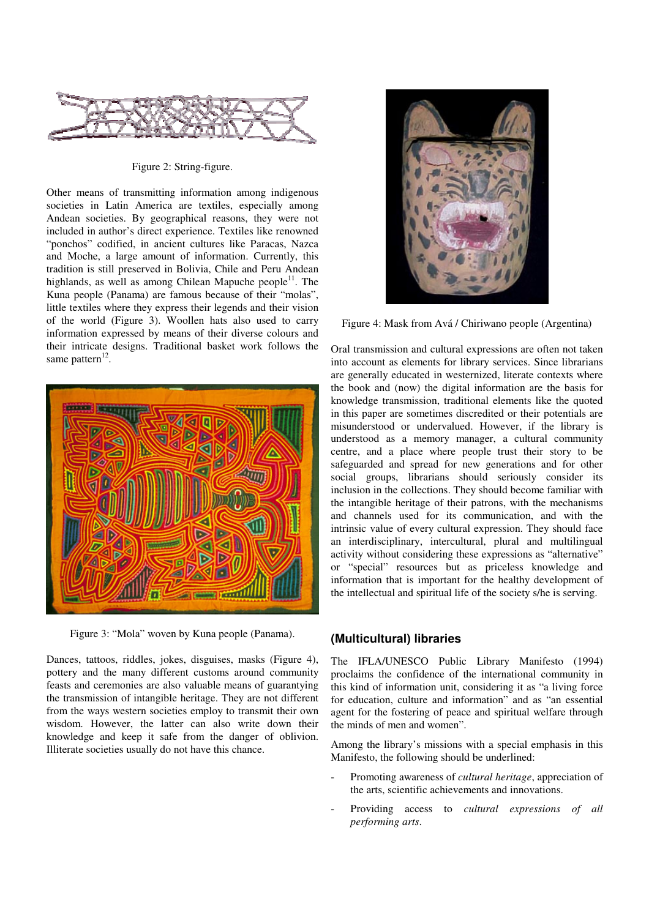

Figure 2: String-figure.

Other means of transmitting information among indigenous societies in Latin America are textiles, especially among Andean societies. By geographical reasons, they were not included in author's direct experience. Textiles like renowned "ponchos" codified, in ancient cultures like Paracas, Nazca and Moche, a large amount of information. Currently, this tradition is still preserved in Bolivia, Chile and Peru Andean highlands, as well as among Chilean Mapuche people $11$ . The Kuna people (Panama) are famous because of their "molas", little textiles where they express their legends and their vision of the world (Figure 3). Woollen hats also used to carry information expressed by means of their diverse colours and their intricate designs. Traditional basket work follows the same pattern<sup>12</sup>.



Figure 3: "Mola" woven by Kuna people (Panama).

Dances, tattoos, riddles, jokes, disguises, masks (Figure 4), pottery and the many different customs around community feasts and ceremonies are also valuable means of guarantying the transmission of intangible heritage. They are not different from the ways western societies employ to transmit their own wisdom. However, the latter can also write down their knowledge and keep it safe from the danger of oblivion. Illiterate societies usually do not have this chance.



Figure 4: Mask from Avá / Chiriwano people (Argentina)

Oral transmission and cultural expressions are often not taken into account as elements for library services. Since librarians are generally educated in westernized, literate contexts where the book and (now) the digital information are the basis for knowledge transmission, traditional elements like the quoted in this paper are sometimes discredited or their potentials are misunderstood or undervalued. However, if the library is understood as a memory manager, a cultural community centre, and a place where people trust their story to be safeguarded and spread for new generations and for other social groups, librarians should seriously consider its inclusion in the collections. They should become familiar with the intangible heritage of their patrons, with the mechanisms and channels used for its communication, and with the intrinsic value of every cultural expression. They should face an interdisciplinary, intercultural, plural and multilingual activity without considering these expressions as "alternative" or "special" resources but as priceless knowledge and information that is important for the healthy development of the intellectual and spiritual life of the society s/he is serving.

## **(Multicultural) libraries**

The IFLA/UNESCO Public Library Manifesto (1994) proclaims the confidence of the international community in this kind of information unit, considering it as "a living force for education, culture and information" and as "an essential agent for the fostering of peace and spiritual welfare through the minds of men and women".

Among the library's missions with a special emphasis in this Manifesto, the following should be underlined:

- Promoting awareness of *cultural heritage*, appreciation of the arts, scientific achievements and innovations.
- Providing access to *cultural expressions of all performing arts*.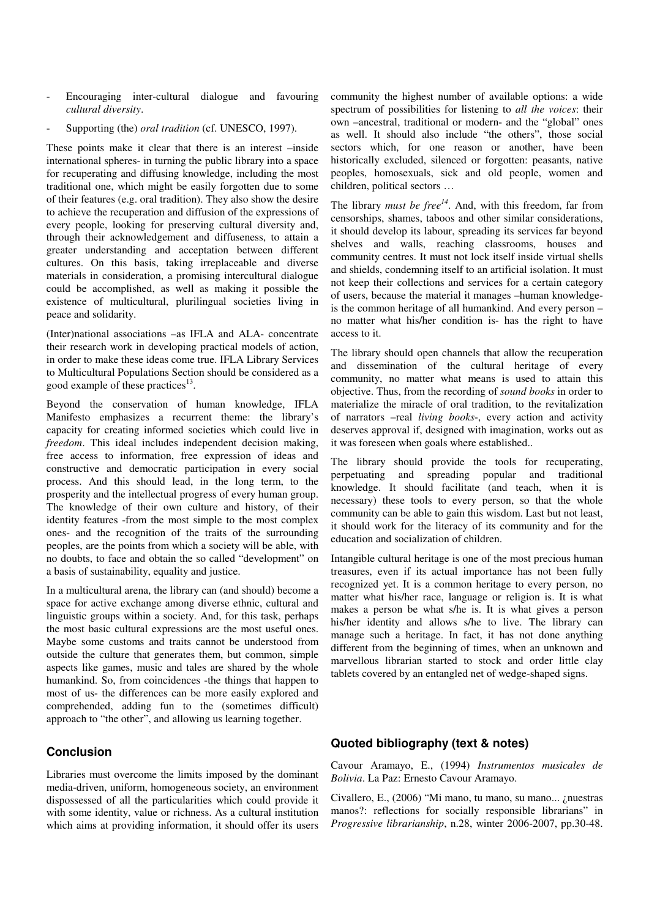- Encouraging inter-cultural dialogue and favouring *cultural diversity*.
- Supporting (the) *oral tradition* (cf. UNESCO, 1997).

These points make it clear that there is an interest –inside international spheres- in turning the public library into a space for recuperating and diffusing knowledge, including the most traditional one, which might be easily forgotten due to some of their features (e.g. oral tradition). They also show the desire to achieve the recuperation and diffusion of the expressions of every people, looking for preserving cultural diversity and, through their acknowledgement and diffuseness, to attain a greater understanding and acceptation between different cultures. On this basis, taking irreplaceable and diverse materials in consideration, a promising intercultural dialogue could be accomplished, as well as making it possible the existence of multicultural, plurilingual societies living in peace and solidarity.

(Inter)national associations –as IFLA and ALA- concentrate their research work in developing practical models of action, in order to make these ideas come true. IFLA Library Services to Multicultural Populations Section should be considered as a good example of these practices<sup>13</sup>.

Beyond the conservation of human knowledge, IFLA Manifesto emphasizes a recurrent theme: the library's capacity for creating informed societies which could live in *freedom*. This ideal includes independent decision making, free access to information, free expression of ideas and constructive and democratic participation in every social process. And this should lead, in the long term, to the prosperity and the intellectual progress of every human group. The knowledge of their own culture and history, of their identity features -from the most simple to the most complex ones- and the recognition of the traits of the surrounding peoples, are the points from which a society will be able, with no doubts, to face and obtain the so called "development" on a basis of sustainability, equality and justice.

In a multicultural arena, the library can (and should) become a space for active exchange among diverse ethnic, cultural and linguistic groups within a society. And, for this task, perhaps the most basic cultural expressions are the most useful ones. Maybe some customs and traits cannot be understood from outside the culture that generates them, but common, simple aspects like games, music and tales are shared by the whole humankind. So, from coincidences -the things that happen to most of us- the differences can be more easily explored and comprehended, adding fun to the (sometimes difficult) approach to "the other", and allowing us learning together.

## **Conclusion**

Libraries must overcome the limits imposed by the dominant media-driven, uniform, homogeneous society, an environment dispossessed of all the particularities which could provide it with some identity, value or richness. As a cultural institution which aims at providing information, it should offer its users community the highest number of available options: a wide spectrum of possibilities for listening to *all the voices*: their own –ancestral, traditional or modern- and the "global" ones as well. It should also include "the others", those social sectors which, for one reason or another, have been historically excluded, silenced or forgotten: peasants, native peoples, homosexuals, sick and old people, women and children, political sectors …

The library *must be free<sup>14</sup>*. And, with this freedom, far from censorships, shames, taboos and other similar considerations, it should develop its labour, spreading its services far beyond shelves and walls, reaching classrooms, houses and community centres. It must not lock itself inside virtual shells and shields, condemning itself to an artificial isolation. It must not keep their collections and services for a certain category of users, because the material it manages –human knowledgeis the common heritage of all humankind. And every person – no matter what his/her condition is- has the right to have access to it.

The library should open channels that allow the recuperation and dissemination of the cultural heritage of every community, no matter what means is used to attain this objective. Thus, from the recording of *sound books* in order to materialize the miracle of oral tradition, to the revitalization of narrators –real *living books*-, every action and activity deserves approval if, designed with imagination, works out as it was foreseen when goals where established..

The library should provide the tools for recuperating, perpetuating and spreading popular and traditional knowledge. It should facilitate (and teach, when it is necessary) these tools to every person, so that the whole community can be able to gain this wisdom. Last but not least, it should work for the literacy of its community and for the education and socialization of children.

Intangible cultural heritage is one of the most precious human treasures, even if its actual importance has not been fully recognized yet. It is a common heritage to every person, no matter what his/her race, language or religion is. It is what makes a person be what s/he is. It is what gives a person his/her identity and allows s/he to live. The library can manage such a heritage. In fact, it has not done anything different from the beginning of times, when an unknown and marvellous librarian started to stock and order little clay tablets covered by an entangled net of wedge-shaped signs.

## **Quoted bibliography (text & notes)**

Cavour Aramayo, E., (1994) *Instrumentos musicales de Bolivia*. La Paz: Ernesto Cavour Aramayo.

Civallero, E., (2006) "Mi mano, tu mano, su mano... ¿nuestras manos?: reflections for socially responsible librarians" in *Progressive librarianship*, n.28, winter 2006-2007, pp.30-48.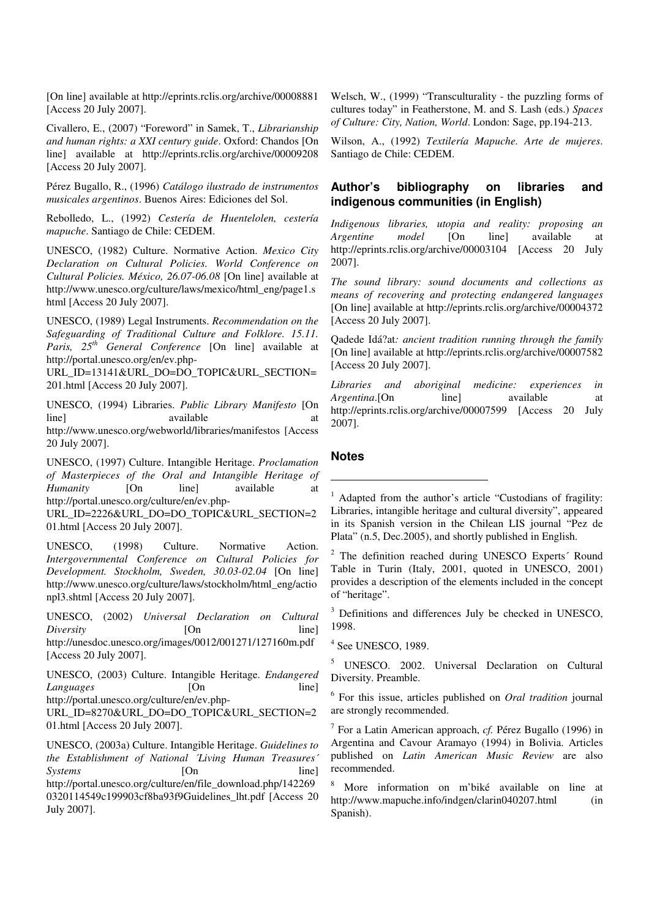[On line] available at http://eprints.rclis.org/archive/00008881 [Access 20 July 2007].

Civallero, E., (2007) "Foreword" in Samek, T., *Librarianship and human rights: a XXI century guide*. Oxford: Chandos [On line] available at http://eprints.rclis.org/archive/00009208 [Access 20 July 2007].

Pérez Bugallo, R., (1996) *Catálogo ilustrado de instrumentos musicales argentinos*. Buenos Aires: Ediciones del Sol.

Rebolledo, L., (1992) *Cestería de Huentelolen, cestería mapuche*. Santiago de Chile: CEDEM.

UNESCO, (1982) Culture. Normative Action. *Mexico City Declaration on Cultural Policies. World Conference on Cultural Policies. México, 26.07-06.08* [On line] available at http://www.unesco.org/culture/laws/mexico/html\_eng/page1.s html [Access 20 July 2007].

UNESCO, (1989) Legal Instruments. *Recommendation on the Safeguarding of Traditional Culture and Folklore. 15.11. Paris, 25th General Conference* [On line] available at http://portal.unesco.org/en/ev.php-

URL\_ID=13141&URL\_DO=DO\_TOPIC&URL\_SECTION= 201.html [Access 20 July 2007].

UNESCO, (1994) Libraries. *Public Library Manifesto* [On line] available at a state at a state at a state and state at a state at a state at a state at a state at a state at  $\alpha$ http://www.unesco.org/webworld/libraries/manifestos [Access 20 July 2007].

UNESCO, (1997) Culture. Intangible Heritage. *Proclamation of Masterpieces of the Oral and Intangible Heritage of Humanity* [On line] available at http://portal.unesco.org/culture/en/ev.php-

URL\_ID=2226&URL\_DO=DO\_TOPIC&URL\_SECTION=2 01.html [Access 20 July 2007].

UNESCO, (1998) Culture. Normative Action. *Intergovernmental Conference on Cultural Policies for Development. Stockholm, Sweden, 30.03-02.04* [On line] http://www.unesco.org/culture/laws/stockholm/html\_eng/actio npl3.shtml [Access 20 July 2007].

UNESCO, (2002) *Universal Declaration on Cultural Diversity* [On line] http://unesdoc.unesco.org/images/0012/001271/127160m.pdf [Access 20 July 2007].

UNESCO, (2003) Culture. Intangible Heritage. *Endangered Languages* [On line] http://portal.unesco.org/culture/en/ev.php-

URL\_ID=8270&URL\_DO=DO\_TOPIC&URL\_SECTION=2 01.html [Access 20 July 2007].

UNESCO, (2003a) Culture. Intangible Heritage. *Guidelines to the Establishment of National ´Living Human Treasures´ Systems* [On line] http://portal.unesco.org/culture/en/file\_download.php/142269 0320114549c199903cf8ba93f9Guidelines\_lht.pdf [Access 20 July 2007].

Welsch, W., (1999) "Transculturality - the puzzling forms of cultures today" in Featherstone, M. and S. Lash (eds.) *Spaces of Culture: City, Nation, World*. London: Sage, pp.194-213.

Wilson, A., (1992) *Textilería Mapuche. Arte de mujeres*. Santiago de Chile: CEDEM.

## **Author's bibliography on libraries and indigenous communities (in English)**

*Indigenous libraries, utopia and reality: proposing an Argentine model* [On line] available at http://eprints.rclis.org/archive/00003104 [Access 20 July 2007].

*The sound library: sound documents and collections as means of recovering and protecting endangered languages*  [On line] available at http://eprints.rclis.org/archive/00004372 [Access 20 July 2007].

Qadede Idá?at*: ancient tradition running through the family*  [On line] available at http://eprints.rclis.org/archive/00007582 [Access 20 July 2007].

*Libraries and aboriginal medicine: experiences in Argentina*.[On line] available at http://eprints.rclis.org/archive/00007599 [Access 20 July 2007].

#### **Notes**

 $\overline{a}$ 

1 Adapted from the author's article "Custodians of fragility: Libraries, intangible heritage and cultural diversity", appeared in its Spanish version in the Chilean LIS journal "Pez de Plata" (n.5, Dec.2005), and shortly published in English.

<sup>2</sup> The definition reached during UNESCO Experts<sup>2</sup> Round Table in Turin (Italy, 2001, quoted in UNESCO, 2001) provides a description of the elements included in the concept of "heritage".

<sup>3</sup> Definitions and differences July be checked in UNESCO, 1998.

4 See UNESCO, 1989.

<sup>5</sup> UNESCO. 2002. Universal Declaration on Cultural Diversity. Preamble.

6 For this issue, articles published on *Oral tradition* journal are strongly recommended.

7 For a Latin American approach, *cf.* Pérez Bugallo (1996) in Argentina and Cavour Aramayo (1994) in Bolivia. Articles published on *Latin American Music Review* are also recommended.

8 More information on m'biké available on line at http://www.mapuche.info/indgen/clarin040207.html (in Spanish).